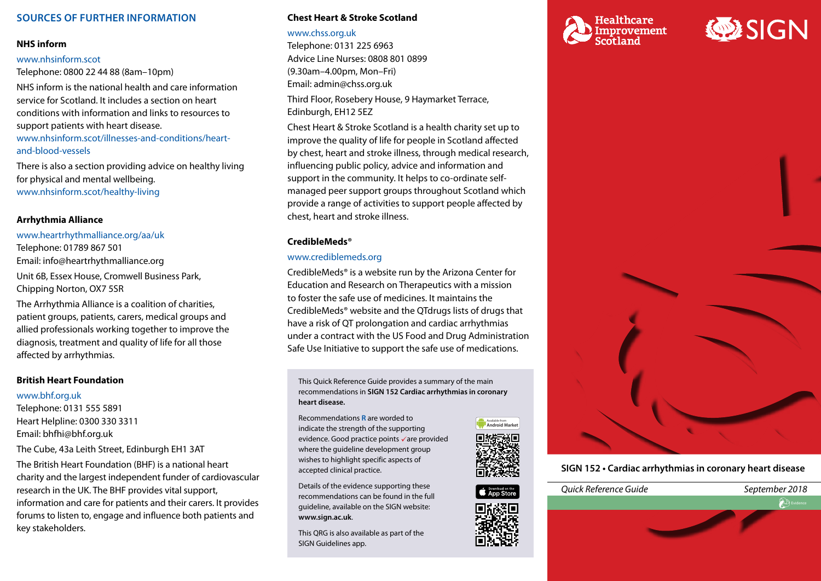# **SOURCES OF FURTHER INFORMATION**

#### **NHS inform**

#### [www.nhsinform.scot](http://www.nhsinform.scot)

Telephone: 0800 22 44 88 (8am–10pm)

NHS inform is the national health and care information service for Scotland. It includes a section on heart conditions with information and links to resources to support patients with heart disease.

[www.nhsinform.scot/illnesses-and-conditions/heart](http://www.nhsinform.scot/illnesses-and-conditions/heart-and-blood-vessels)and[-blood-vessels](http://www.nhsinform.scot/illnesses-and-conditions/heart-and-blood-vessels) 

There is also a section providing advice on healthy living for physical and mental wellbeing. [www.nhsinform.scot/healthy-living](http://www.nhsinform.scot/healthy-living)

## **Arrhythmia Alliance**

[www.heartrhythmalliance.org/aa/uk](http://www.heartrhythmalliance.org/aa/uk) Telephone: 01789 867 501 Email: [info@heartrhythmalliance.org](mailto:info@heartrhythmalliance.org) Unit 6B, Essex House, Cromwell Business Park, Chipping Norton, OX7 5SR

The Arrhythmia Alliance is a coalition of charities, patient groups, patients, carers, medical groups and allied professionals working together to improve the diagnosis, treatment and quality of life for all those affected by arrhythmias.

#### **British Heart Foundation**

#### [www.bhf.org.uk](http://www.bhf.org.uk)

Telephone: 0131 555 5891 Heart Helpline: 0300 330 3311 Email: [bhfhi@bhf.org.uk](mailto:bhfhi@bhf.org.uk) 

The Cube, 43a Leith Street, Edinburgh EH1 3AT

The British Heart Foundation (BHF) is a national heart charity and the largest independent funder of cardiovascular research in the UK. The BHF provides vital support, information and care for patients and their carers. It provides forums to listen to, engage and influence both patients and key stakeholders.

#### **Chest Heart & Stroke Scotland**

#### [www.chss.org.uk](http://www.chss.org.uk)

Telephone: 0131 225 6963 Advice Line Nurses: 0808 801 0899 (9.30am–4.00pm, Mon–Fri) Email: [admin@chss.org.uk](mailto:admin@chss.org.uk)

Third Floor, Rosebery House, 9 Haymarket Terrace, Edinburgh, EH12 5EZ

Chest Heart & Stroke Scotland is a health charity set up to improve the quality of life for people in Scotland affected by chest, heart and stroke illness, through medical research, influencing public policy, advice and information and support in the community. It helps to co-ordinate selfmanaged peer support groups throughout Scotland which provide a range of activities to support people affected by chest, heart and stroke illness.

## **CredibleMeds®**

## [www.crediblemeds.org](http://www.crediblemeds.org)

CredibleMeds® is a website run by the Arizona Center for Education and Research on Therapeutics with a mission to foster the safe use of medicines. It maintains the CredibleMeds® website and the QTdrugs lists of drugs that have a risk of QT prolongation and cardiac arrhythmias under a contract with the US Food and Drug Administration Safe Use Initiative to support the safe use of medications.

This Quick Reference Guide provides a summary of the main recommendations in **SIGN 152 Cardiac arrhythmias in coronary heart disease.**

Recommendations **R** are worded to indicate the strength of the supporting evidence. Good practice points vare provided where the guideline development group wishes to highlight specific aspects of accepted clinical practice.

Details of the evidence supporting these recommendations can be found in the full guideline, available on the SIGN website: **[www.sign.ac.uk](http://www.sign.ac.uk)**.

This QRG is also available as part of the SIGN Guidelines app.









# **ODESIGN**



**SIGN 152 • Cardiac arrhythmias in coronary heart disease**

**D** Evid

*Quick Reference Guide September 2018*